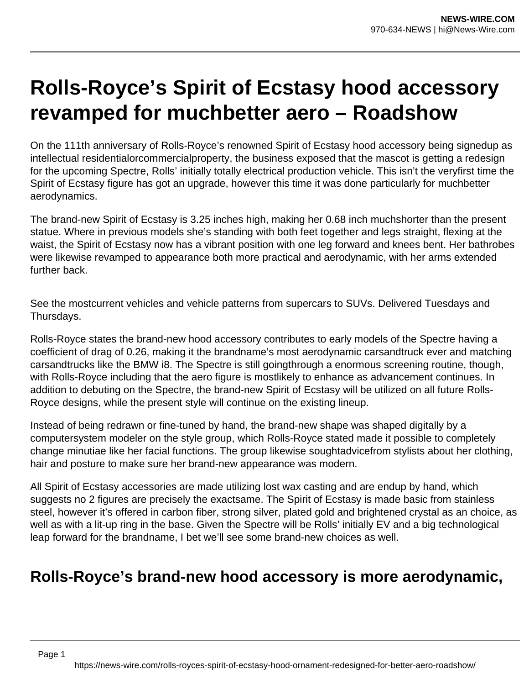## **Rolls-Royce's Spirit of Ecstasy hood accessory revamped for muchbetter aero – Roadshow**

On the 111th anniversary of Rolls-Royce's renowned Spirit of Ecstasy hood accessory being signedup as intellectual residentialorcommercialproperty, the business exposed that the mascot is getting a redesign for the upcoming Spectre, Rolls' initially totally electrical production vehicle. This isn't the veryfirst time the Spirit of Ecstasy figure has got an upgrade, however this time it was done particularly for muchbetter aerodynamics.

The brand-new Spirit of Ecstasy is 3.25 inches high, making her 0.68 inch muchshorter than the present statue. Where in previous models she's standing with both feet together and legs straight, flexing at the waist, the Spirit of Ecstasy now has a vibrant position with one leg forward and knees bent. Her bathrobes were likewise revamped to appearance both more practical and aerodynamic, with her arms extended further back.

See the mostcurrent vehicles and vehicle patterns from supercars to SUVs. Delivered Tuesdays and Thursdays.

Rolls-Royce states the brand-new hood accessory contributes to early models of the Spectre having a coefficient of drag of 0.26, making it the brandname's most aerodynamic carsandtruck ever and matching carsandtrucks like the BMW i8. The Spectre is still goingthrough a enormous screening routine, though, with Rolls-Royce including that the aero figure is mostlikely to enhance as advancement continues. In addition to debuting on the Spectre, the brand-new Spirit of Ecstasy will be utilized on all future Rolls-Royce designs, while the present style will continue on the existing lineup.

Instead of being redrawn or fine-tuned by hand, the brand-new shape was shaped digitally by a computersystem modeler on the style group, which Rolls-Royce stated made it possible to completely change minutiae like her facial functions. The group likewise soughtadvicefrom stylists about her clothing, hair and posture to make sure her brand-new appearance was modern.

All Spirit of Ecstasy accessories are made utilizing lost wax casting and are endup by hand, which suggests no 2 figures are precisely the exactsame. The Spirit of Ecstasy is made basic from stainless steel, however it's offered in carbon fiber, strong silver, plated gold and brightened crystal as an choice, as well as with a lit-up ring in the base. Given the Spectre will be Rolls' initially EV and a big technological leap forward for the brandname, I bet we'll see some brand-new choices as well.

## **Rolls-Royce's brand-new hood accessory is more aerodynamic,**